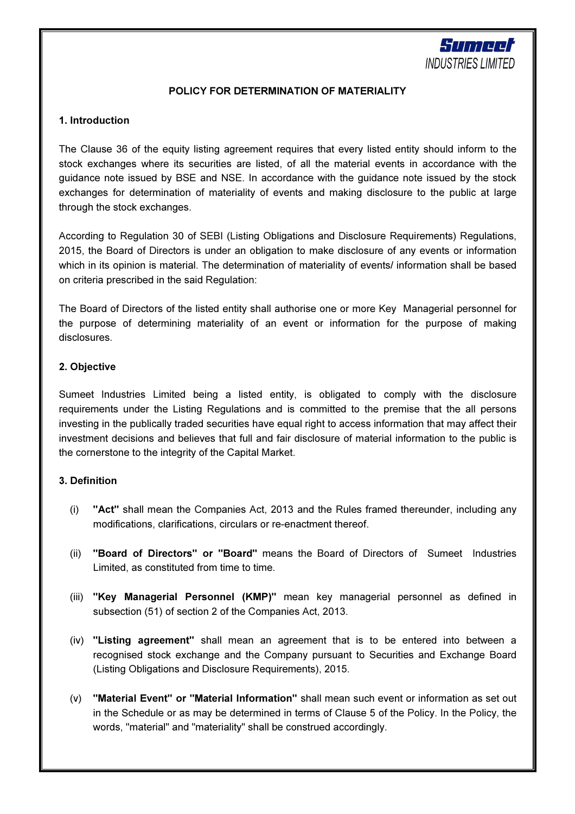

## POLICY FOR DETERMINATION OF MATERIALITY

## 1. Introduction

The Clause 36 of the equity listing agreement requires that every listed entity should inform to the stock exchanges where its securities are listed, of all the material events in accordance with the guidance note issued by BSE and NSE. In accordance with the guidance note issued by the stock exchanges for determination of materiality of events and making disclosure to the public at large through the stock exchanges.

According to Regulation 30 of SEBI (Listing Obligations and Disclosure Requirements) Regulations, 2015, the Board of Directors is under an obligation to make disclosure of any events or information which in its opinion is material. The determination of materiality of events/ information shall be based on criteria prescribed in the said Regulation:

The Board of Directors of the listed entity shall authorise one or more Key Managerial personnel for the purpose of determining materiality of an event or information for the purpose of making disclosures.

## 2. Objective

Sumeet Industries Limited being a listed entity, is obligated to comply with the disclosure requirements under the Listing Regulations and is committed to the premise that the all persons investing in the publically traded securities have equal right to access information that may affect their investment decisions and believes that full and fair disclosure of material information to the public is the cornerstone to the integrity of the Capital Market.

#### 3. Definition

- (i) "Act" shall mean the Companies Act, 2013 and the Rules framed thereunder, including any modifications, clarifications, circulars or re-enactment thereof.
- (ii) "Board of Directors" or "Board" means the Board of Directors of Sumeet Industries Limited, as constituted from time to time.
- (iii) "Key Managerial Personnel (KMP)" mean key managerial personnel as defined in subsection (51) of section 2 of the Companies Act, 2013.
- (iv) "Listing agreement" shall mean an agreement that is to be entered into between a recognised stock exchange and the Company pursuant to Securities and Exchange Board (Listing Obligations and Disclosure Requirements), 2015.
- (v) "Material Event" or "Material Information" shall mean such event or information as set out in the Schedule or as may be determined in terms of Clause 5 of the Policy. In the Policy, the words, "material" and "materiality" shall be construed accordingly.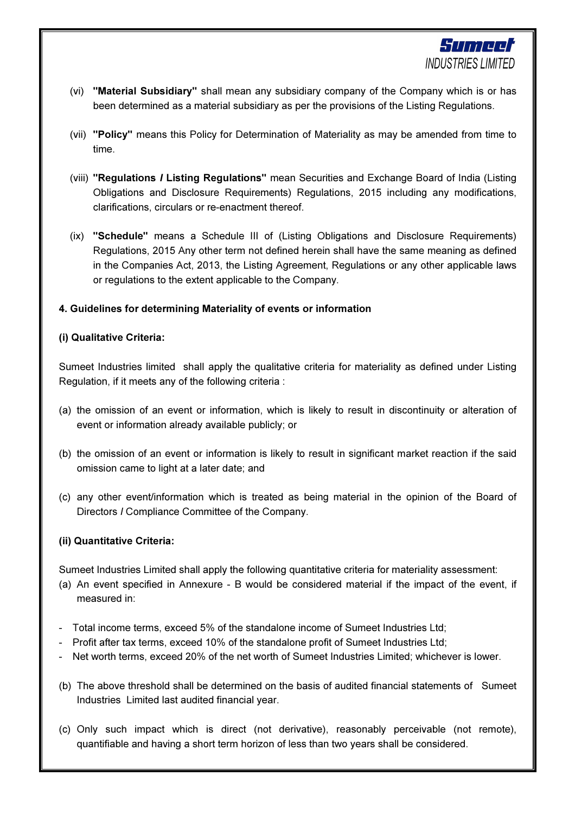

- (vi) "Material Subsidiary" shall mean any subsidiary company of the Company which is or has been determined as a material subsidiary as per the provisions of the Listing Regulations.
- (vii) "Policy" means this Policy for Determination of Materiality as may be amended from time to time.
- (viii) "Regulations I Listing Regulations" mean Securities and Exchange Board of India (Listing Obligations and Disclosure Requirements) Regulations, 2015 including any modifications, clarifications, circulars or re-enactment thereof.
- (ix) "Schedule" means a Schedule III of (Listing Obligations and Disclosure Requirements) Regulations, 2015 Any other term not defined herein shall have the same meaning as defined in the Companies Act, 2013, the Listing Agreement, Regulations or any other applicable laws or regulations to the extent applicable to the Company.

# 4. Guidelines for determining Materiality of events or information

#### (i) Qualitative Criteria:

Sumeet Industries limited shall apply the qualitative criteria for materiality as defined under Listing Regulation, if it meets any of the following criteria :

- (a) the omission of an event or information, which is likely to result in discontinuity or alteration of event or information already available publicly; or
- (b) the omission of an event or information is likely to result in significant market reaction if the said omission came to light at a later date; and
- (c) any other event/information which is treated as being material in the opinion of the Board of Directors I Compliance Committee of the Company.

#### (ii) Quantitative Criteria:

Sumeet Industries Limited shall apply the following quantitative criteria for materiality assessment:

- (a) An event specified in Annexure B would be considered material if the impact of the event, if measured in:
- Total income terms, exceed 5% of the standalone income of Sumeet Industries Ltd;
- Profit after tax terms, exceed 10% of the standalone profit of Sumeet Industries Ltd;
- Net worth terms, exceed 20% of the net worth of Sumeet Industries Limited; whichever is lower.
- (b) The above threshold shall be determined on the basis of audited financial statements of Sumeet Industries Limited last audited financial year.
- (c) Only such impact which is direct (not derivative), reasonably perceivable (not remote), quantifiable and having a short term horizon of less than two years shall be considered.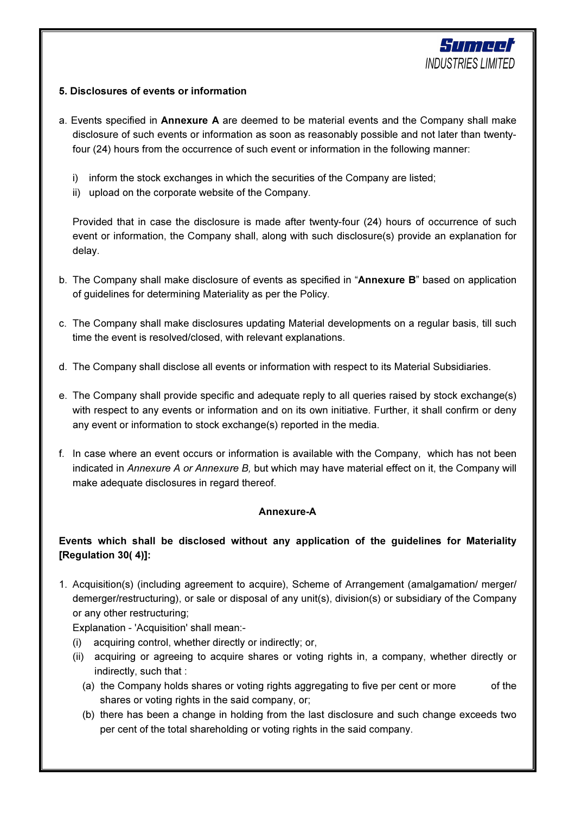

# 5. Disclosures of events or information

- a. Events specified in Annexure A are deemed to be material events and the Company shall make disclosure of such events or information as soon as reasonably possible and not later than twentyfour (24) hours from the occurrence of such event or information in the following manner:
	- i) inform the stock exchanges in which the securities of the Company are listed;
	- ii) upload on the corporate website of the Company.

Provided that in case the disclosure is made after twenty-four (24) hours of occurrence of such event or information, the Company shall, along with such disclosure(s) provide an explanation for delay.

- b. The Company shall make disclosure of events as specified in "Annexure B" based on application of guidelines for determining Materiality as per the Policy.
- c. The Company shall make disclosures updating Material developments on a regular basis, till such time the event is resolved/closed, with relevant explanations.
- d. The Company shall disclose all events or information with respect to its Material Subsidiaries.
- e. The Company shall provide specific and adequate reply to all queries raised by stock exchange(s) with respect to any events or information and on its own initiative. Further, it shall confirm or deny any event or information to stock exchange(s) reported in the media.
- f. In case where an event occurs or information is available with the Company, which has not been indicated in Annexure A or Annexure B, but which may have material effect on it, the Company will make adequate disclosures in regard thereof.

# Annexure-A

# Events which shall be disclosed without any application of the guidelines for Materiality [Regulation 30( 4)]:

1. Acquisition(s) (including agreement to acquire), Scheme of Arrangement (amalgamation/ merger/ demerger/restructuring), or sale or disposal of any unit(s), division(s) or subsidiary of the Company or any other restructuring;

Explanation - 'Acquisition' shall mean:-

- (i) acquiring control, whether directly or indirectly; or,
- (ii) acquiring or agreeing to acquire shares or voting rights in, a company, whether directly or indirectly, such that :
	- (a) the Company holds shares or voting rights aggregating to five per cent or more of the shares or voting rights in the said company, or;
	- (b) there has been a change in holding from the last disclosure and such change exceeds two per cent of the total shareholding or voting rights in the said company.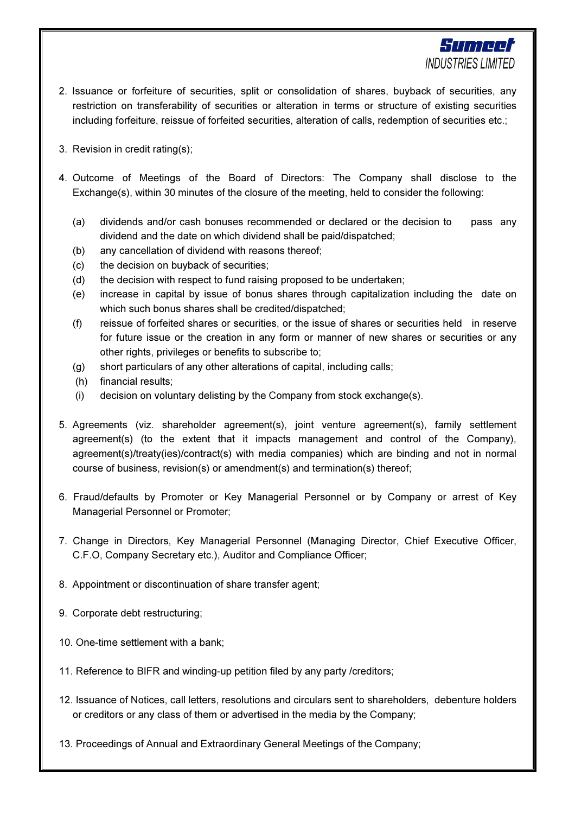

Sumeer **INDUSTRIES LIMITED** 

- 3. Revision in credit rating(s);
- 4. Outcome of Meetings of the Board of Directors: The Company shall disclose to the Exchange(s), within 30 minutes of the closure of the meeting, held to consider the following:
	- (a) dividends and/or cash bonuses recommended or declared or the decision to pass any dividend and the date on which dividend shall be paid/dispatched;
	- (b) any cancellation of dividend with reasons thereof;
	- (c) the decision on buyback of securities;
	- (d) the decision with respect to fund raising proposed to be undertaken;
	- (e) increase in capital by issue of bonus shares through capitalization including the date on which such bonus shares shall be credited/dispatched;
	- (f) reissue of forfeited shares or securities, or the issue of shares or securities held in reserve for future issue or the creation in any form or manner of new shares or securities or any other rights, privileges or benefits to subscribe to;
	- (g) short particulars of any other alterations of capital, including calls;
	- (h) financial results;
	- (i) decision on voluntary delisting by the Company from stock exchange(s).
- 5. Agreements (viz. shareholder agreement(s), joint venture agreement(s), family settlement agreement(s) (to the extent that it impacts management and control of the Company), agreement(s)/treaty(ies)/contract(s) with media companies) which are binding and not in normal course of business, revision(s) or amendment(s) and termination(s) thereof;
- 6. Fraud/defaults by Promoter or Key Managerial Personnel or by Company or arrest of Key Managerial Personnel or Promoter;
- 7. Change in Directors, Key Managerial Personnel (Managing Director, Chief Executive Officer, C.F.O, Company Secretary etc.), Auditor and Compliance Officer;
- 8. Appointment or discontinuation of share transfer agent;
- 9. Corporate debt restructuring;
- 10. One-time settlement with a bank;
- 11. Reference to BIFR and winding-up petition filed by any party /creditors;
- 12. Issuance of Notices, call letters, resolutions and circulars sent to shareholders, debenture holders or creditors or any class of them or advertised in the media by the Company;
- 13. Proceedings of Annual and Extraordinary General Meetings of the Company;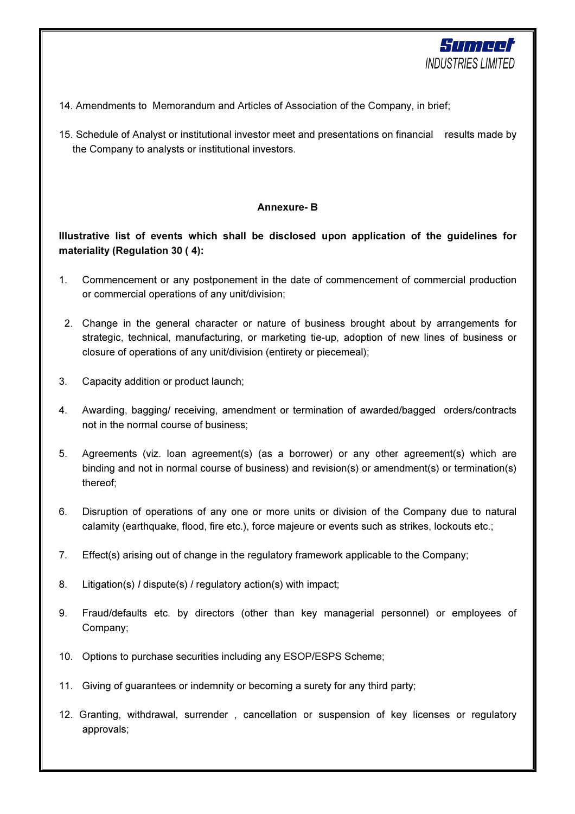

- 14. Amendments to Memorandum and Articles of Association of the Company, in brief;
- 15. Schedule of Analyst or institutional investor meet and presentations on financial results made by the Company to analysts or institutional investors.

# Annexure- B

# Illustrative list of events which shall be disclosed upon application of the guidelines for materiality (Regulation 30 ( 4):

- 1. Commencement or any postponement in the date of commencement of commercial production or commercial operations of any unit/division;
- 2. Change in the general character or nature of business brought about by arrangements for strategic, technical, manufacturing, or marketing tie-up, adoption of new lines of business or closure of operations of any unit/division (entirety or piecemeal);
- 3. Capacity addition or product launch;
- 4. Awarding, bagging/ receiving, amendment or termination of awarded/bagged orders/contracts not in the normal course of business;
- 5. Agreements (viz. loan agreement(s) (as a borrower) or any other agreement(s) which are binding and not in normal course of business) and revision(s) or amendment(s) or termination(s) thereof;
- 6. Disruption of operations of any one or more units or division of the Company due to natural calamity (earthquake, flood, fire etc.), force majeure or events such as strikes, lockouts etc.;
- 7. Effect(s) arising out of change in the regulatory framework applicable to the Company;
- 8. Litigation(s) I dispute(s) / regulatory action(s) with impact;
- 9. Fraud/defaults etc. by directors (other than key managerial personnel) or employees of Company;
- 10. Options to purchase securities including any ESOP/ESPS Scheme;
- 11. Giving of guarantees or indemnity or becoming a surety for any third party;
- 12. Granting, withdrawal, surrender , cancellation or suspension of key licenses or regulatory approvals;